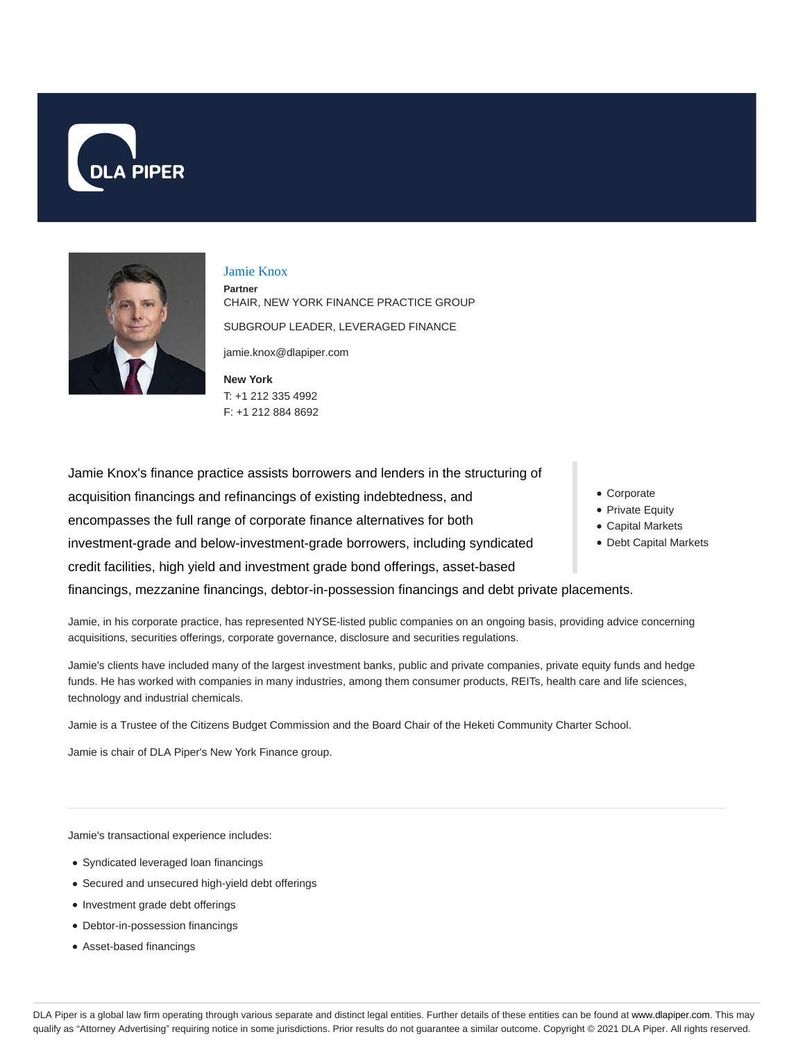



### Jamie Knox

**Partner** CHAIR, NEW YORK FINANCE PRACTICE GROUP SUBGROUP LEADER, LEVERAGED FINANCE jamie.knox@dlapiper.com

**New York** T: +1 212 335 4992 F: +1 212 884 8692

Jamie Knox's finance practice assists borrowers and lenders in the structuring of acquisition financings and refinancings of existing indebtedness, and encompasses the full range of corporate finance alternatives for both investment-grade and below-investment-grade borrowers, including syndicated credit facilities, high yield and investment grade bond offerings, asset-based financings, mezzanine financings, debtor-in-possession financings and debt private placements.

Jamie, in his corporate practice, has represented NYSE-listed public companies on an ongoing basis, providing advice concerning acquisitions, securities offerings, corporate governance, disclosure and securities regulations.

Jamie's clients have included many of the largest investment banks, public and private companies, private equity funds and hedge funds. He has worked with companies in many industries, among them consumer products, REITs, health care and life sciences, technology and industrial chemicals.

Jamie is a Trustee of the Citizens Budget Commission and the Board Chair of the Heketi Community Charter School.

Jamie is chair of DLA Piper's New York Finance group.

Jamie's transactional experience includes:

- Syndicated leveraged loan financings
- Secured and unsecured high-yield debt offerings
- Investment grade debt offerings
- Debtor-in-possession financings
- Asset-based financings
- Corporate
- Private Equity
- Capital Markets
- Debt Capital Markets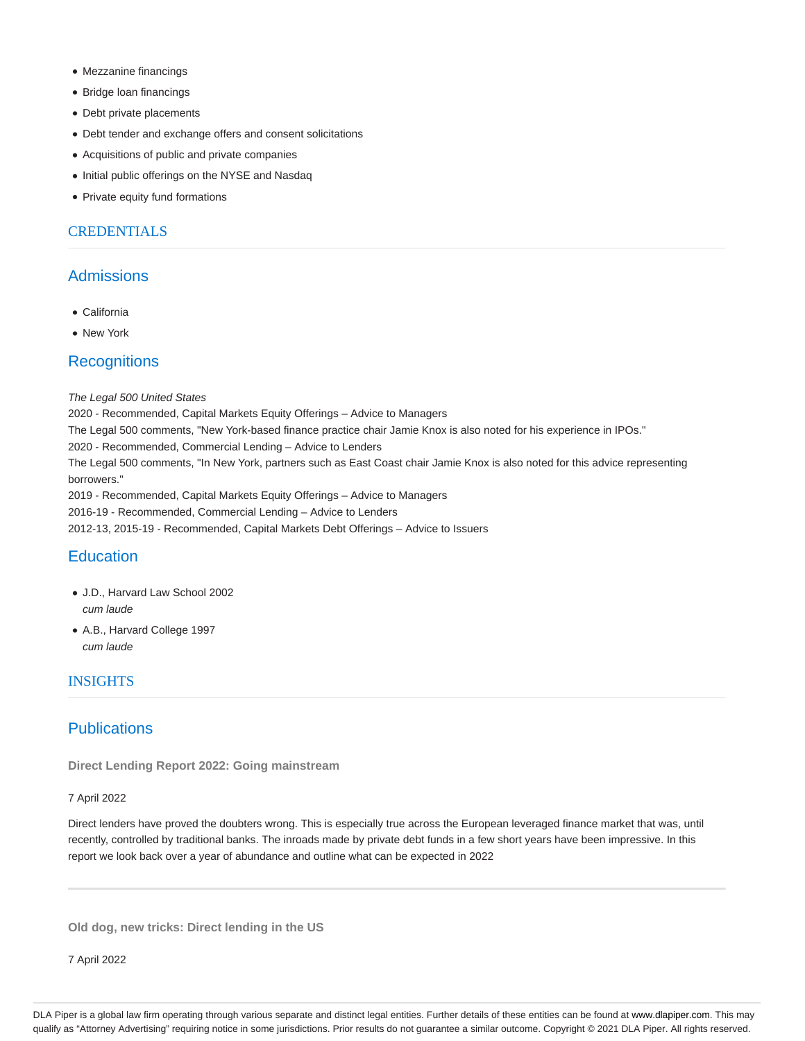- Mezzanine financings
- Bridge loan financings
- Debt private placements
- Debt tender and exchange offers and consent solicitations
- Acquisitions of public and private companies
- Initial public offerings on the NYSE and Nasdaq
- Private equity fund formations

## **CREDENTIALS**

## **Admissions**

- California
- New York

# **Recognitions**

#### The Legal 500 United States

2020 - Recommended, Capital Markets Equity Offerings – Advice to Managers

The Legal 500 comments, "New York-based finance practice chair Jamie Knox is also noted for his experience in IPOs."

2020 - Recommended, Commercial Lending – Advice to Lenders

The Legal 500 comments, "In New York, partners such as East Coast chair Jamie Knox is also noted for this advice representing borrowers."

2019 - Recommended, Capital Markets Equity Offerings – Advice to Managers

2016-19 - Recommended, Commercial Lending – Advice to Lenders

2012-13, 2015-19 - Recommended, Capital Markets Debt Offerings – Advice to Issuers

# **Education**

- J.D., Harvard Law School 2002 cum laude
- A.B., Harvard College 1997 cum laude

## INSIGHTS

## **Publications**

**Direct Lending Report 2022: Going mainstream**

#### 7 April 2022

Direct lenders have proved the doubters wrong. This is especially true across the European leveraged finance market that was, until recently, controlled by traditional banks. The inroads made by private debt funds in a few short years have been impressive. In this report we look back over a year of abundance and outline what can be expected in 2022

**Old dog, new tricks: Direct lending in the US**

7 April 2022

DLA Piper is a global law firm operating through various separate and distinct legal entities. Further details of these entities can be found at www.dlapiper.com. This may qualify as "Attorney Advertising" requiring notice in some jurisdictions. Prior results do not guarantee a similar outcome. Copyright © 2021 DLA Piper. All rights reserved.